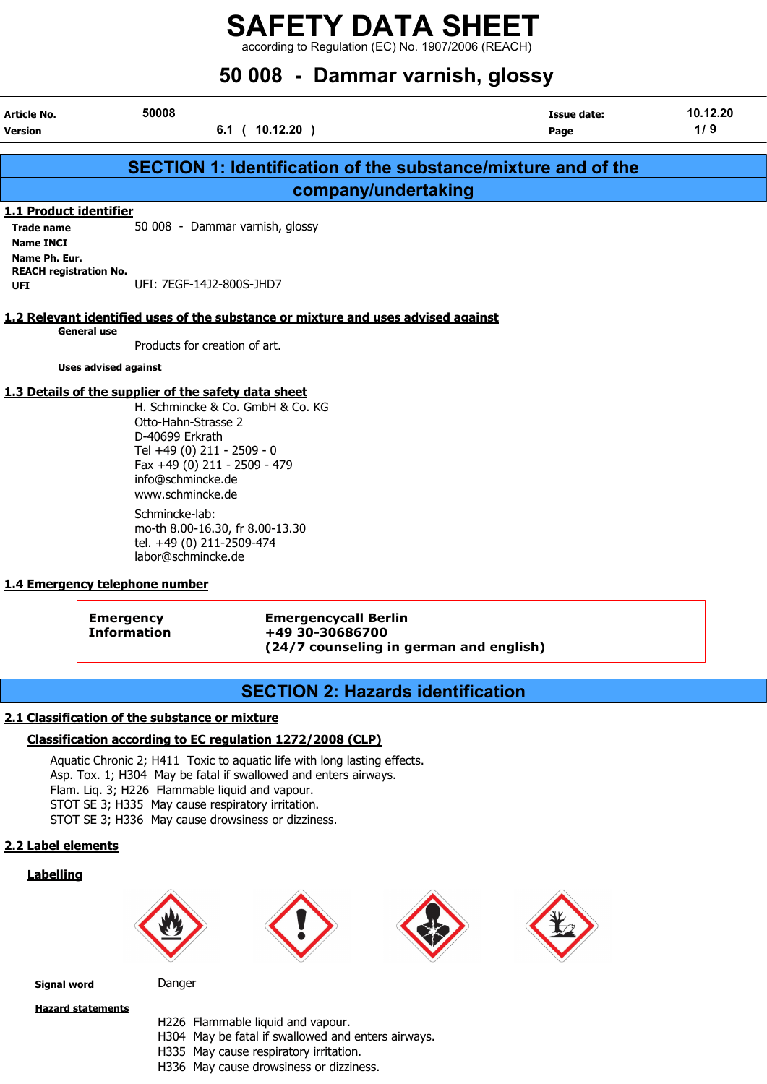according to Regulation (EC) No. 1907/2006 (REACH)

## 50 008 - Dammar varnish, glossy

| Article No.                                           | 50008                                                                             | Issue date: | 10.12.20 |
|-------------------------------------------------------|-----------------------------------------------------------------------------------|-------------|----------|
| Version                                               | 6.1<br>$10.12.20$ )                                                               | Page        | 1/9      |
|                                                       |                                                                                   |             |          |
|                                                       | <b>SECTION 1: Identification of the substance/mixture and of the</b>              |             |          |
|                                                       | company/undertaking                                                               |             |          |
| 1.1 Product identifier                                |                                                                                   |             |          |
| Trade name<br>Name INCI                               | 50 008 - Dammar varnish, glossy                                                   |             |          |
| Name Ph. Eur.<br><b>REACH registration No.</b><br>UFI | UFI: 7EGF-1412-800S-JHD7                                                          |             |          |
| <b>General use</b>                                    | 1.2 Relevant identified uses of the substance or mixture and uses advised against |             |          |

Products for creation of art.

Uses advised against

#### 1.3 Details of the supplier of the safety data sheet

H. Schmincke & Co. GmbH & Co. KG Otto-Hahn-Strasse 2 D-40699 Erkrath Tel +49 (0) 211 - 2509 - 0 Fax +49 (0) 211 - 2509 - 479 info@schmincke.de www.schmincke.de Schmincke-lab: mo-th 8.00-16.30, fr 8.00-13.30 tel. +49 (0) 211-2509-474

labor@schmincke.de

### 1.4 Emergency telephone number

Emergency Emergencycall Berlin Information +49 30-30686700 (24/7 counseling in german and english)

## SECTION 2: Hazards identification

#### 2.1 Classification of the substance or mixture

#### Classification according to EC regulation 1272/2008 (CLP)

Aquatic Chronic 2; H411 Toxic to aquatic life with long lasting effects. Asp. Tox. 1; H304 May be fatal if swallowed and enters airways. Flam. Liq. 3; H226 Flammable liquid and vapour. STOT SE 3; H335 May cause respiratory irritation. STOT SE 3; H336 May cause drowsiness or dizziness.

#### 2.2 Label elements

#### Labelling









**Signal word** Danger

- Hazard statements
	- H226 Flammable liquid and vapour.
	- H304 May be fatal if swallowed and enters airways.
	- H335 May cause respiratory irritation.
	- H336 May cause drowsiness or dizziness.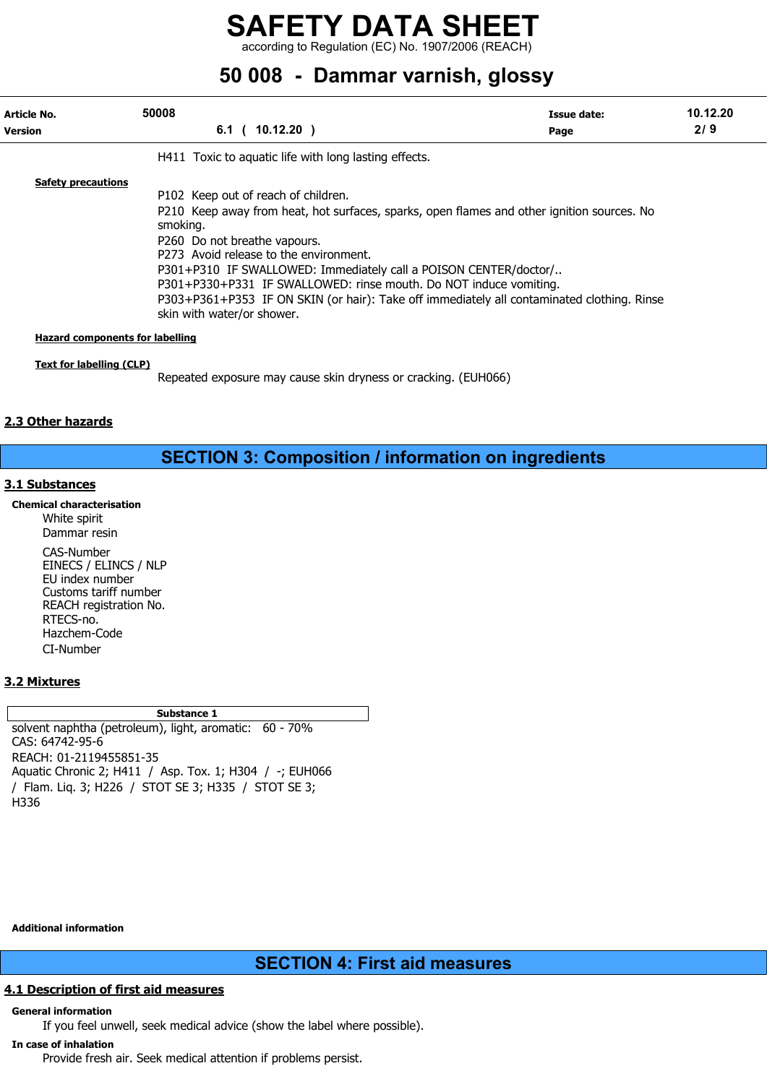according to Regulation (EC) No. 1907/2006 (REACH)

## 50 008 - Dammar varnish, glossy

| Article No.<br><b>Version</b>          | 50008<br>$10.12.20$ )<br>6.1 (                                                                                                                                                                                                                                                                                                                                                                                                                                                               | <b>Issue date:</b><br>Page | 10.12.20<br>2/9 |
|----------------------------------------|----------------------------------------------------------------------------------------------------------------------------------------------------------------------------------------------------------------------------------------------------------------------------------------------------------------------------------------------------------------------------------------------------------------------------------------------------------------------------------------------|----------------------------|-----------------|
|                                        | H411 Toxic to aguatic life with long lasting effects.                                                                                                                                                                                                                                                                                                                                                                                                                                        |                            |                 |
| <b>Safety precautions</b>              | P102 Keep out of reach of children.<br>P210 Keep away from heat, hot surfaces, sparks, open flames and other ignition sources. No<br>smoking.<br>P260 Do not breathe vapours.<br>P273 Avoid release to the environment.<br>P301+P310 IF SWALLOWED: Immediately call a POISON CENTER/doctor/<br>P301+P330+P331 IF SWALLOWED: rinse mouth. Do NOT induce vomiting.<br>P303+P361+P353 IF ON SKIN (or hair): Take off immediately all contaminated clothing. Rinse<br>skin with water/or shower. |                            |                 |
| <b>Hazard components for labelling</b> |                                                                                                                                                                                                                                                                                                                                                                                                                                                                                              |                            |                 |
| <b>Text for labelling (CLP)</b>        | Repeated exposure may cause skin dryness or cracking. (EUH066)                                                                                                                                                                                                                                                                                                                                                                                                                               |                            |                 |

### 2.3 Other hazards

## SECTION 3: Composition / information on ingredients

#### 3.1 Substances

#### Chemical characterisation

White spirit Dammar resin CAS-Number EINECS / ELINCS / NLP EU index number Customs tariff number REACH registration No. RTECS-no. Hazchem-Code CI-Number

#### 3.2 Mixtures

## Substance 1

solvent naphtha (petroleum), light, aromatic: 60 - 70% CAS: 64742-95-6 REACH: 01-2119455851-35 Aquatic Chronic 2; H411 / Asp. Tox. 1; H304 / -; EUH066 / Flam. Liq. 3; H226 / STOT SE 3; H335 / STOT SE 3; H336

Additional information

## SECTION 4: First aid measures

#### 4.1 Description of first aid measures

#### General information

If you feel unwell, seek medical advice (show the label where possible).

#### In case of inhalation

Provide fresh air. Seek medical attention if problems persist.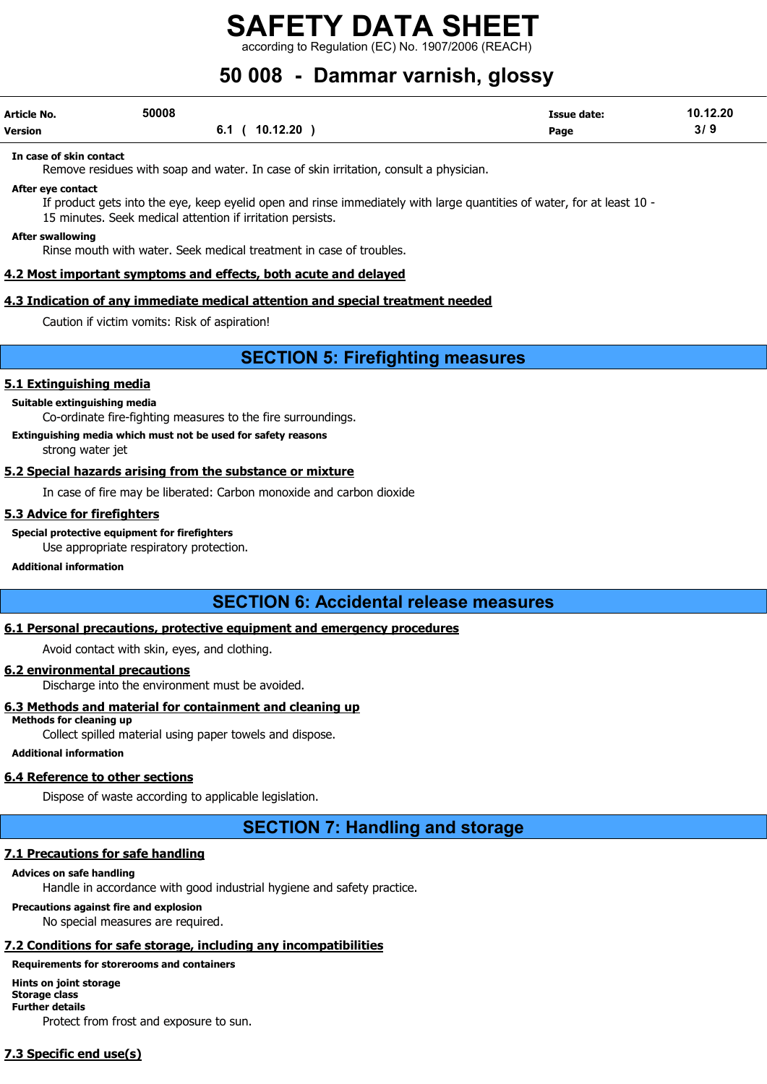according to Regulation (EC) No. 1907/2006 (REACH)

# 50 008 - Dammar varnish, glossy

| <b>Article No.</b> | 50008 |                 | Issue date: | 10.12.20 |
|--------------------|-------|-----------------|-------------|----------|
| Version            |       | 10.12.20<br>6.1 | Page        | 3/9      |

#### In case of skin contact

Remove residues with soap and water. In case of skin irritation, consult a physician.

#### After eye contact

If product gets into the eye, keep eyelid open and rinse immediately with large quantities of water, for at least 10 - 15 minutes. Seek medical attention if irritation persists.

#### After swallowing

Rinse mouth with water. Seek medical treatment in case of troubles.

#### 4.2 Most important symptoms and effects, both acute and delayed

#### 4.3 Indication of any immediate medical attention and special treatment needed

Caution if victim vomits: Risk of aspiration!

SECTION 5: Firefighting measures

#### 5.1 Extinguishing media

#### Suitable extinguishing media

Co-ordinate fire-fighting measures to the fire surroundings.

#### Extinguishing media which must not be used for safety reasons

strong water jet

#### 5.2 Special hazards arising from the substance or mixture

In case of fire may be liberated: Carbon monoxide and carbon dioxide

#### 5.3 Advice for firefighters

Special protective equipment for firefighters

Use appropriate respiratory protection.

#### Additional information

## SECTION 6: Accidental release measures

#### 6.1 Personal precautions, protective equipment and emergency procedures

Avoid contact with skin, eyes, and clothing.

#### 6.2 environmental precautions

Discharge into the environment must be avoided.

## 6.3 Methods and material for containment and cleaning up

Methods for cleaning up Collect spilled material using paper towels and dispose.

#### Additional information

## 6.4 Reference to other sections

Dispose of waste according to applicable legislation.

## SECTION 7: Handling and storage

## 7.1 Precautions for safe handling

#### Advices on safe handling

Handle in accordance with good industrial hygiene and safety practice.

## Precautions against fire and explosion

No special measures are required.

## 7.2 Conditions for safe storage, including any incompatibilities

Requirements for storerooms and containers Hints on joint storage

Storage class Further details Protect from frost and exposure to sun.

## 7.3 Specific end use(s)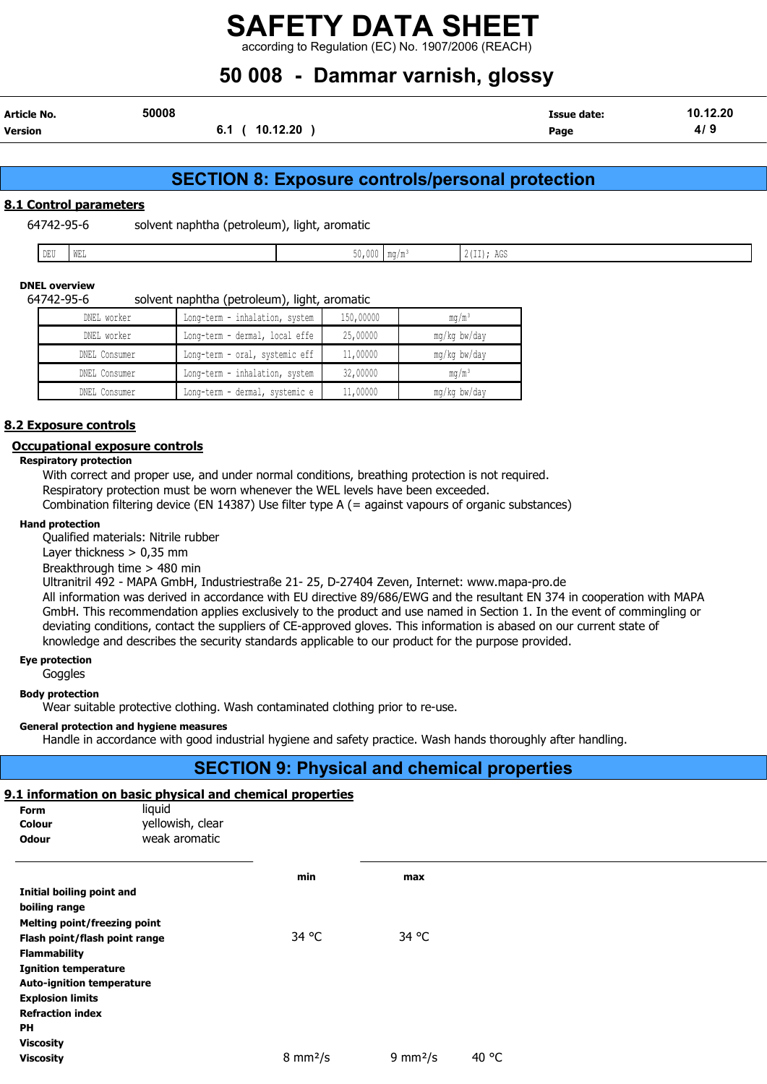according to Regulation (EC) No. 1907/2006 (REACH)

## 50 008 - Dammar varnish, glossy

| <b>Article No.</b> | 50008           | Issue date: | 10.12.20 |
|--------------------|-----------------|-------------|----------|
| Version            | 10.12.20<br>6.1 | Page        | 4        |

## SECTION 8: Exposure controls/personal protection

### 8.1 Control parameters

64742-95-6 solvent naphtha (petroleum), light, aromatic

| 2(II); AGS<br>ウイエナー<br>$\sim$ 0.00<br><b>LATE</b><br>יז הח<br>mq/m<br>1 NR.D<br>ب نتائبا<br><b>UV</b> |
|-------------------------------------------------------------------------------------------------------|
|-------------------------------------------------------------------------------------------------------|

#### DNEL overview

| 64742-95-6<br>solvent naphtha (petroleum), light, aromatic |                                |           |              |  |  |  |  |  |
|------------------------------------------------------------|--------------------------------|-----------|--------------|--|--|--|--|--|
| DNEL worker                                                | Long-term - inhalation, system | 150,00000 | $mq/m^3$     |  |  |  |  |  |
| DNEL worker                                                | Long-term - dermal, local effe | 25,00000  | mg/kg bw/day |  |  |  |  |  |
| DNEL Consumer                                              | Long-term - oral, systemic eff | 11,00000  | mq/kq bw/day |  |  |  |  |  |
| DNEL Consumer                                              | Long-term - inhalation, system | 32,00000  | $mq/m^3$     |  |  |  |  |  |

#### 8.2 Exposure controls

#### Occupational exposure controls

#### Respiratory protection

With correct and proper use, and under normal conditions, breathing protection is not required. Respiratory protection must be worn whenever the WEL levels have been exceeded.

DNEL Consumer | Long-term - dermal, systemic e | 11,00000 | mg/kg bw/day

Combination filtering device (EN 14387) Use filter type A (= against vapours of organic substances)

#### Hand protection

Qualified materials: Nitrile rubber

Layer thickness  $> 0.35$  mm

Breakthrough time > 480 min

Ultranitril 492 - MAPA GmbH, Industriestraße 21- 25, D-27404 Zeven, Internet: www.mapa-pro.de

All information was derived in accordance with EU directive 89/686/EWG and the resultant EN 374 in cooperation with MAPA GmbH. This recommendation applies exclusively to the product and use named in Section 1. In the event of commingling or deviating conditions, contact the suppliers of CE-approved gloves. This information is abased on our current state of knowledge and describes the security standards applicable to our product for the purpose provided.

#### Eye protection

## **Goggles**

Body protection

Wear suitable protective clothing. Wash contaminated clothing prior to re-use.

#### General protection and hygiene measures

Handle in accordance with good industrial hygiene and safety practice. Wash hands thoroughly after handling.

## SECTION 9: Physical and chemical properties

## 9.1 information on basic physical and chemical properties

| Form                             | <u>a mionnation on bable phybical and chemical properties</u><br>liquid |                     |                     |       |
|----------------------------------|-------------------------------------------------------------------------|---------------------|---------------------|-------|
| Colour                           | yellowish, clear                                                        |                     |                     |       |
| <b>Odour</b>                     | weak aromatic                                                           |                     |                     |       |
|                                  |                                                                         | min                 | max                 |       |
| Initial boiling point and        |                                                                         |                     |                     |       |
| boiling range                    |                                                                         |                     |                     |       |
| Melting point/freezing point     |                                                                         |                     |                     |       |
| Flash point/flash point range    |                                                                         | 34 °C               | 34 °C               |       |
| <b>Flammability</b>              |                                                                         |                     |                     |       |
| <b>Ignition temperature</b>      |                                                                         |                     |                     |       |
| <b>Auto-ignition temperature</b> |                                                                         |                     |                     |       |
| <b>Explosion limits</b>          |                                                                         |                     |                     |       |
| <b>Refraction index</b>          |                                                                         |                     |                     |       |
| PН                               |                                                                         |                     |                     |       |
| <b>Viscosity</b>                 |                                                                         |                     |                     |       |
| <b>Viscosity</b>                 |                                                                         | $8 \text{ mm}^2$ /s | $9 \text{ mm}^2$ /s | 40 °C |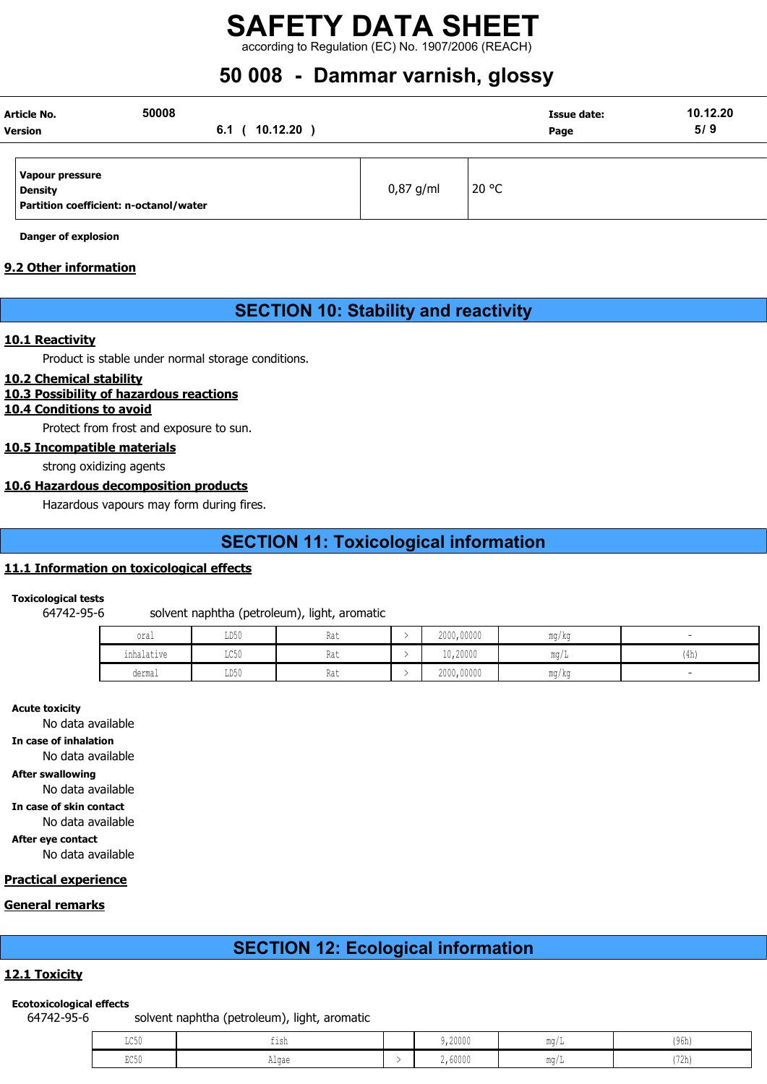according to Regulation (EC) No. 1907/2006 (REACH)

# 50 008 - Dammar varnish, glossy

| Article No.                            | 50008 |              |             |       | Issue date: | 10.12.20 |
|----------------------------------------|-------|--------------|-------------|-------|-------------|----------|
| <b>Version</b>                         | 6.1 ( | $10.12.20$ ) |             |       | Page        | 5/9      |
|                                        |       |              |             |       |             |          |
| Vapour pressure                        |       |              |             |       |             |          |
| <b>Density</b>                         |       |              | $0,87$ g/ml | 20 °C |             |          |
| Partition coefficient: n-octanol/water |       |              |             |       |             |          |

Danger of explosion

#### 9.2 Other information

## SECTION 10: Stability and reactivity

#### 10.1 Reactivity

Product is stable under normal storage conditions.

#### 10.2 Chemical stability

#### 10.3 Possibility of hazardous reactions

## 10.4 Conditions to avoid

Protect from frost and exposure to sun.

10.5 Incompatible materials

strong oxidizing agents

#### 10.6 Hazardous decomposition products

Hazardous vapours may form during fires.

## SECTION 11: Toxicological information

#### 11.1 Information on toxicological effects

#### Toxicological tests

64742-95-6 solvent naphtha (petroleum), light, aromatic

| oral       | LD50         | Rat | 2000,00000          | $\sim$ $\sim$ $\sim$<br>mg/kg |      |
|------------|--------------|-----|---------------------|-------------------------------|------|
| inhalative | TOE0<br>せいりい | Rat | $30000$<br>IU,ZUUUU | ma/L                          | (4h) |
| dermal     | LD50         | Rat | 2000,00000          | mq/kg                         |      |

#### Acute toxicity

No data available

In case of inhalation

No data available

After swallowing

No data available

In case of skin contact

No data available

After eye contact No data available

#### Practical experience

#### General remarks

## SECTION 12: Ecological information

#### 12.1 Toxicity

#### Ecotoxicological effects

64742-95-6 solvent naphtha (petroleum), light, aromatic

| $T \cap E$<br>コンマハ<br>. | ---   | 9,20000 | <b>MA OH</b><br>11U I | (96h)             |
|-------------------------|-------|---------|-----------------------|-------------------|
| $R \cap R$<br>コンマク      | Algae | 2,60000 | <b>MA OH</b><br>11147 | 1721<br>  I Z N J |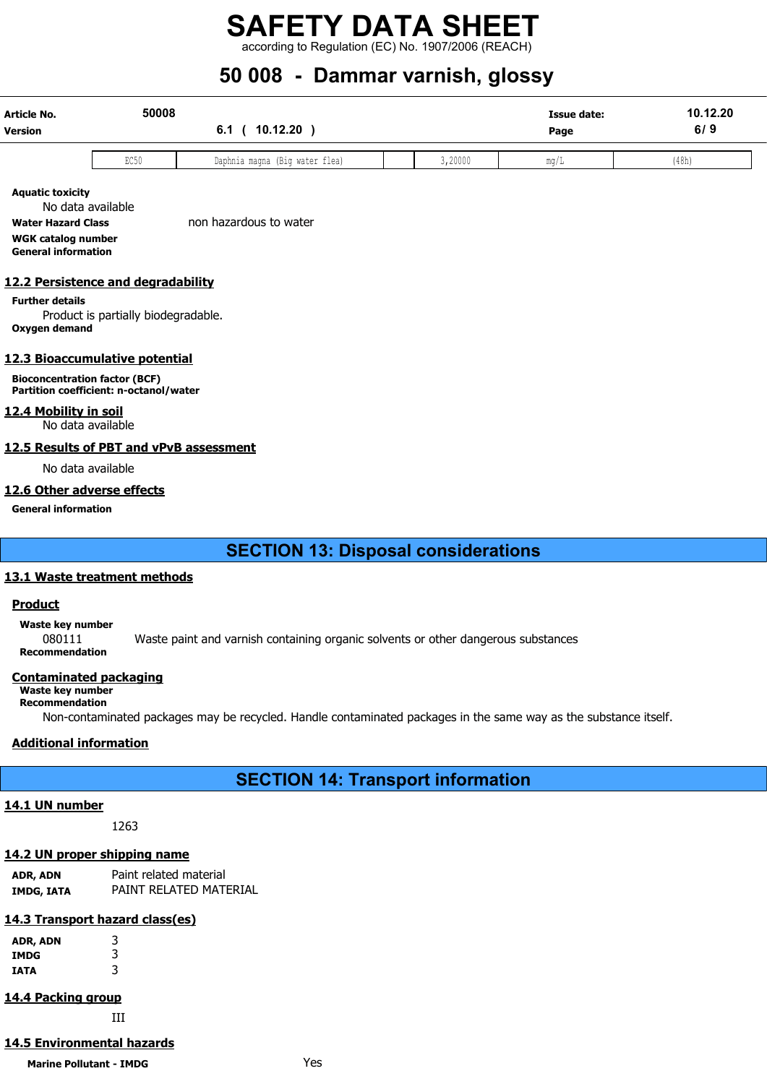according to Regulation (EC) No. 1907/2006 (REACH)

# 50 008 - Dammar varnish, glossy

| <b>Article No.</b><br><b>Version</b> | 50008<br>10.12.20<br>0. I |                                |  |         |      | 10.12.20<br>6/9 |
|--------------------------------------|---------------------------|--------------------------------|--|---------|------|-----------------|
|                                      | EC50                      | Daphnia magna (Big water flea) |  | 3,20000 | ma/L | (48h)           |

Aquatic toxicity

No data available

Water Hazard Class non hazardous to water WGK catalog number General information

#### 12.2 Persistence and degradability

Further details

Product is partially biodegradable. Oxygen demand

#### 12.3 Bioaccumulative potential

Bioconcentration factor (BCF) Partition coefficient: n-octanol/water

#### 12.4 Mobility in soil

No data available

#### 12.5 Results of PBT and vPvB assessment

No data available

#### 12.6 Other adverse effects

General information

## SECTION 13: Disposal considerations

#### 13.1 Waste treatment methods

#### Product

Waste key number

080111 Waste paint and varnish containing organic solvents or other dangerous substances Recommendation

#### Contaminated packaging

Waste key number Recommendation

Non-contaminated packages may be recycled. Handle contaminated packages in the same way as the substance itself.

#### Additional information

## SECTION 14: Transport information

#### 14.1 UN number

1263

## 14.2 UN proper shipping name

ADR, ADN Paint related material IMDG, IATA PAINT RELATED MATERIAL

## 14.3 Transport hazard class(es)

| ADR, ADN | 3 |
|----------|---|
| IMDG     | 3 |
| IATA     | 3 |

## 14.4 Packing group

III

## 14.5 Environmental hazards

Marine Pollutant - IMDG **Yes**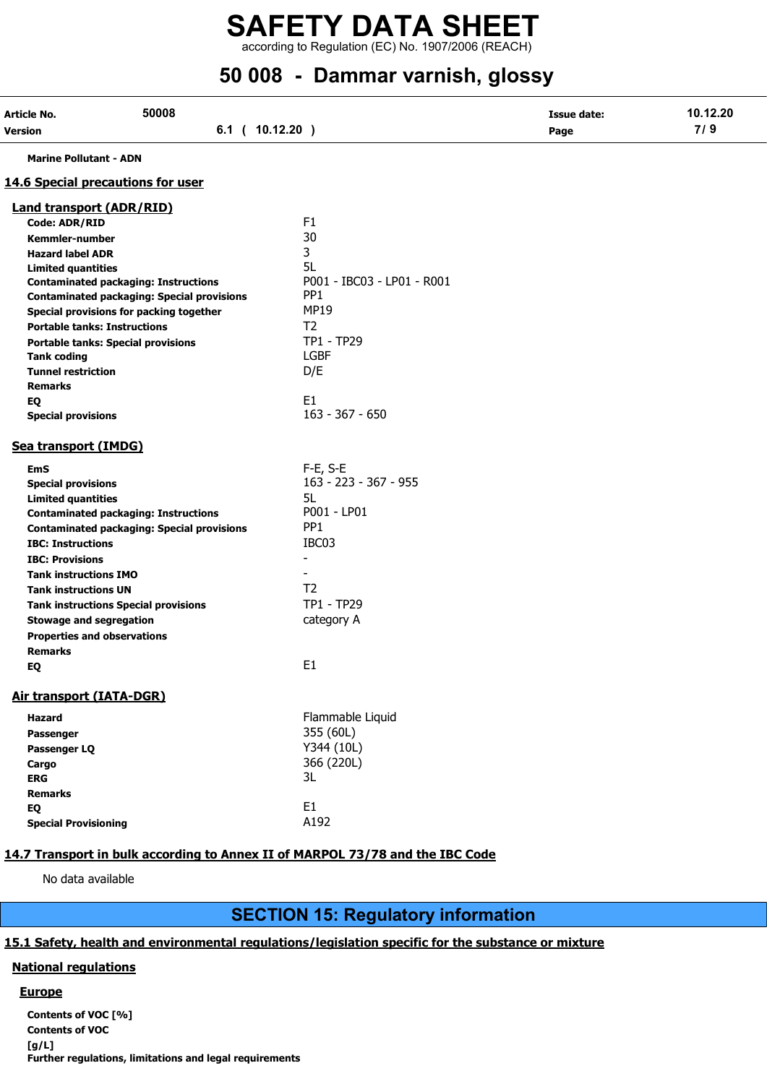according to Regulation (EC) No. 1907/2006 (REACH)

# 50 008 - Dammar varnish, glossy

| Article No.<br>Version                      | 50008<br>$6.1$ ( $10.12.20$ )                     |                            | <b>Issue date:</b><br>Page | 10.12.20<br>7/9 |
|---------------------------------------------|---------------------------------------------------|----------------------------|----------------------------|-----------------|
| <b>Marine Pollutant - ADN</b>               |                                                   |                            |                            |                 |
|                                             | 14.6 Special precautions for user                 |                            |                            |                 |
| <b>Land transport (ADR/RID)</b>             |                                                   |                            |                            |                 |
| Code: ADR/RID                               |                                                   | F1                         |                            |                 |
| Kemmler-number                              |                                                   | 30                         |                            |                 |
| <b>Hazard label ADR</b>                     |                                                   | 3                          |                            |                 |
| <b>Limited quantities</b>                   |                                                   | 5L                         |                            |                 |
|                                             | <b>Contaminated packaging: Instructions</b>       | P001 - IBC03 - LP01 - R001 |                            |                 |
|                                             | <b>Contaminated packaging: Special provisions</b> | PP <sub>1</sub>            |                            |                 |
|                                             | Special provisions for packing together           | <b>MP19</b>                |                            |                 |
| <b>Portable tanks: Instructions</b>         |                                                   | T <sub>2</sub>             |                            |                 |
|                                             | <b>Portable tanks: Special provisions</b>         | TP1 - TP29                 |                            |                 |
| <b>Tank coding</b>                          |                                                   | <b>LGBF</b>                |                            |                 |
| <b>Tunnel restriction</b><br><b>Remarks</b> |                                                   | D/E                        |                            |                 |
| EQ                                          |                                                   | E <sub>1</sub>             |                            |                 |
| <b>Special provisions</b>                   |                                                   | $163 - 367 - 650$          |                            |                 |
| Sea transport (IMDG)                        |                                                   |                            |                            |                 |
| <b>EmS</b>                                  |                                                   | $F-E$ , S-E                |                            |                 |
| <b>Special provisions</b>                   |                                                   | 163 - 223 - 367 - 955      |                            |                 |
| <b>Limited quantities</b>                   |                                                   | 5L                         |                            |                 |
|                                             | <b>Contaminated packaging: Instructions</b>       | P001 - LP01                |                            |                 |
|                                             | <b>Contaminated packaging: Special provisions</b> | PP <sub>1</sub>            |                            |                 |
| <b>IBC: Instructions</b>                    |                                                   | IBC03                      |                            |                 |
| <b>IBC: Provisions</b>                      |                                                   | $\blacksquare$             |                            |                 |
| <b>Tank instructions IMO</b>                |                                                   |                            |                            |                 |
| <b>Tank instructions UN</b>                 |                                                   | T <sub>2</sub>             |                            |                 |
|                                             | <b>Tank instructions Special provisions</b>       | TP1 - TP29                 |                            |                 |
| <b>Stowage and segregation</b>              |                                                   | category A                 |                            |                 |
| <b>Properties and observations</b>          |                                                   |                            |                            |                 |
| <b>Remarks</b>                              |                                                   |                            |                            |                 |
| EQ                                          |                                                   | E <sub>1</sub>             |                            |                 |
| Air transport (IATA-DGR)                    |                                                   |                            |                            |                 |
| <b>Hazard</b>                               |                                                   | Flammable Liquid           |                            |                 |
| Passenger                                   |                                                   | 355 (60L)                  |                            |                 |
| Passenger LQ                                |                                                   | Y344 (10L)                 |                            |                 |
| Cargo                                       |                                                   | 366 (220L)                 |                            |                 |
| <b>ERG</b>                                  |                                                   | 3L                         |                            |                 |
| <b>Remarks</b>                              |                                                   |                            |                            |                 |
| EQ                                          |                                                   | E1                         |                            |                 |
| <b>Special Provisioning</b>                 |                                                   | A192                       |                            |                 |
|                                             |                                                   |                            |                            |                 |

## 14.7 Transport in bulk according to Annex II of MARPOL 73/78 and the IBC Code

No data available

## SECTION 15: Regulatory information

#### 15.1 Safety, health and environmental regulations/legislation specific for the substance or mixture

#### National regulations

#### **Europe**

Contents of VOC [%] Contents of VOC [g/L] Further regulations, limitations and legal requirements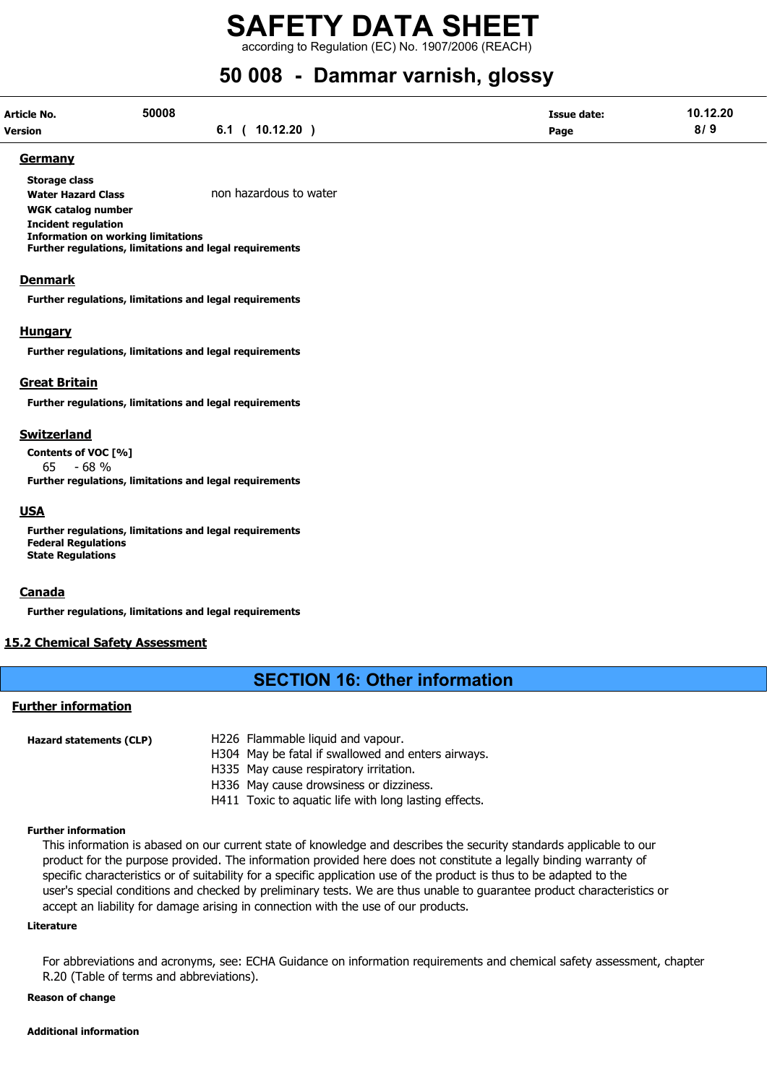according to Regulation (EC) No. 1907/2006 (REACH)

## 50 008 - Dammar varnish, glossy

| Article No.    | 50008 |                 | Issue date: | 10.12.20 |
|----------------|-------|-----------------|-------------|----------|
| <b>Version</b> |       | 10.12.20<br>6.1 | Page        | 8/9      |

#### Germany

Storage class Water Hazard Class non hazardous to water WGK catalog number Incident regulation Information on working limitations Further regulations, limitations and legal requirements

#### Denmark

Further regulations, limitations and legal requirements

#### **Hungary**

Further regulations, limitations and legal requirements

#### Great Britain

Further regulations, limitations and legal requirements

#### Switzerland

Contents of VOC [%] 65 - 68 % Further regulations, limitations and legal requirements

#### USA

Further regulations, limitations and legal requirements Federal Regulations State Regulations

#### Canada

Further regulations, limitations and legal requirements

#### 15.2 Chemical Safety Assessment

## SECTION 16: Other information

#### Further information

Hazard statements (CLP) H226 Flammable liquid and vapour. H304 May be fatal if swallowed and enters airways. H335 May cause respiratory irritation. H336 May cause drowsiness or dizziness. H411 Toxic to aquatic life with long lasting effects.

#### Further information

This information is abased on our current state of knowledge and describes the security standards applicable to our product for the purpose provided. The information provided here does not constitute a legally binding warranty of specific characteristics or of suitability for a specific application use of the product is thus to be adapted to the user's special conditions and checked by preliminary tests. We are thus unable to guarantee product characteristics or accept an liability for damage arising in connection with the use of our products.

#### Literature

For abbreviations and acronyms, see: ECHA Guidance on information requirements and chemical safety assessment, chapter R.20 (Table of terms and abbreviations).

#### Reason of change